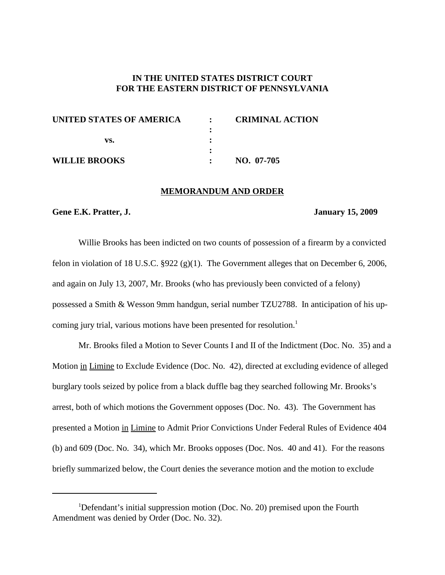## **IN THE UNITED STATES DISTRICT COURT FOR THE EASTERN DISTRICT OF PENNSYLVANIA**

| UNITED STATES OF AMERICA | <b>CRIMINAL ACTION</b> |
|--------------------------|------------------------|
|                          |                        |
| vs.                      |                        |
|                          |                        |
| WILLIE BROOKS            | NO. 07-705             |

#### **MEMORANDUM AND ORDER**

#### **Gene E.K. Pratter, J. January 15, 2009**

Willie Brooks has been indicted on two counts of possession of a firearm by a convicted felon in violation of 18 U.S.C. §922 (g)(1). The Government alleges that on December 6, 2006, and again on July 13, 2007, Mr. Brooks (who has previously been convicted of a felony) possessed a Smith & Wesson 9mm handgun, serial number TZU2788. In anticipation of his upcoming jury trial, various motions have been presented for resolution. 1

Mr. Brooks filed a Motion to Sever Counts I and II of the Indictment (Doc. No. 35) and a Motion in Limine to Exclude Evidence (Doc. No. 42), directed at excluding evidence of alleged burglary tools seized by police from a black duffle bag they searched following Mr. Brooks's arrest, both of which motions the Government opposes (Doc. No. 43). The Government has presented a Motion in Limine to Admit Prior Convictions Under Federal Rules of Evidence 404 (b) and 609 (Doc. No. 34), which Mr. Brooks opposes (Doc. Nos. 40 and 41). For the reasons briefly summarized below, the Court denies the severance motion and the motion to exclude

<sup>&</sup>lt;sup>1</sup>Defendant's initial suppression motion (Doc. No. 20) premised upon the Fourth Amendment was denied by Order (Doc. No. 32).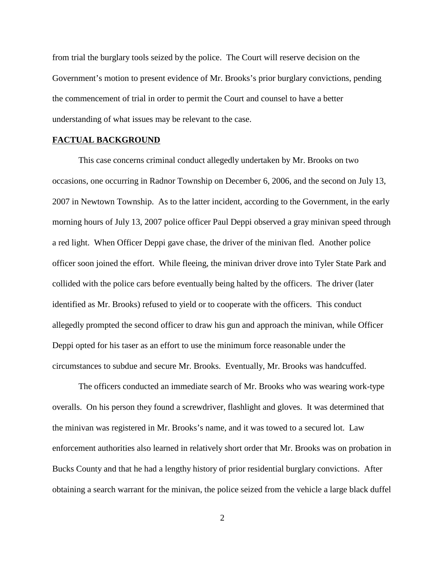from trial the burglary tools seized by the police. The Court will reserve decision on the Government's motion to present evidence of Mr. Brooks's prior burglary convictions, pending the commencement of trial in order to permit the Court and counsel to have a better understanding of what issues may be relevant to the case.

### **FACTUAL BACKGROUND**

This case concerns criminal conduct allegedly undertaken by Mr. Brooks on two occasions, one occurring in Radnor Township on December 6, 2006, and the second on July 13, 2007 in Newtown Township. As to the latter incident, according to the Government, in the early morning hours of July 13, 2007 police officer Paul Deppi observed a gray minivan speed through a red light. When Officer Deppi gave chase, the driver of the minivan fled. Another police officer soon joined the effort. While fleeing, the minivan driver drove into Tyler State Park and collided with the police cars before eventually being halted by the officers. The driver (later identified as Mr. Brooks) refused to yield or to cooperate with the officers. This conduct allegedly prompted the second officer to draw his gun and approach the minivan, while Officer Deppi opted for his taser as an effort to use the minimum force reasonable under the circumstances to subdue and secure Mr. Brooks. Eventually, Mr. Brooks was handcuffed.

The officers conducted an immediate search of Mr. Brooks who was wearing work-type overalls. On his person they found a screwdriver, flashlight and gloves. It was determined that the minivan was registered in Mr. Brooks's name, and it was towed to a secured lot. Law enforcement authorities also learned in relatively short order that Mr. Brooks was on probation in Bucks County and that he had a lengthy history of prior residential burglary convictions. After obtaining a search warrant for the minivan, the police seized from the vehicle a large black duffel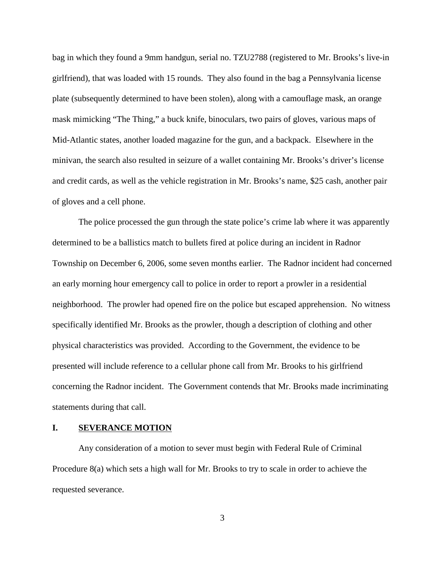bag in which they found a 9mm handgun, serial no. TZU2788 (registered to Mr. Brooks's live-in girlfriend), that was loaded with 15 rounds. They also found in the bag a Pennsylvania license plate (subsequently determined to have been stolen), along with a camouflage mask, an orange mask mimicking "The Thing," a buck knife, binoculars, two pairs of gloves, various maps of Mid-Atlantic states, another loaded magazine for the gun, and a backpack. Elsewhere in the minivan, the search also resulted in seizure of a wallet containing Mr. Brooks's driver's license and credit cards, as well as the vehicle registration in Mr. Brooks's name, \$25 cash, another pair of gloves and a cell phone.

The police processed the gun through the state police's crime lab where it was apparently determined to be a ballistics match to bullets fired at police during an incident in Radnor Township on December 6, 2006, some seven months earlier. The Radnor incident had concerned an early morning hour emergency call to police in order to report a prowler in a residential neighborhood. The prowler had opened fire on the police but escaped apprehension. No witness specifically identified Mr. Brooks as the prowler, though a description of clothing and other physical characteristics was provided. According to the Government, the evidence to be presented will include reference to a cellular phone call from Mr. Brooks to his girlfriend concerning the Radnor incident. The Government contends that Mr. Brooks made incriminating statements during that call.

#### **I. SEVERANCE MOTION**

Any consideration of a motion to sever must begin with Federal Rule of Criminal Procedure 8(a) which sets a high wall for Mr. Brooks to try to scale in order to achieve the requested severance.

3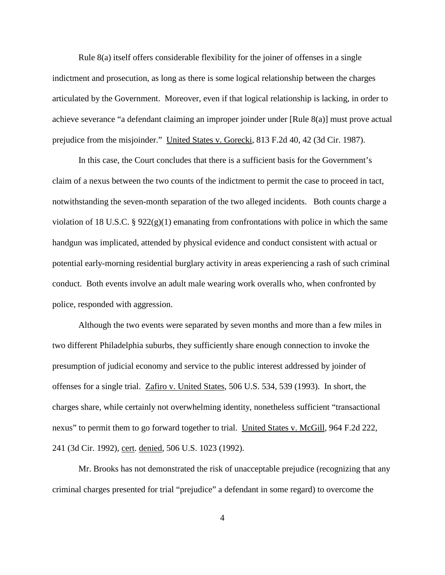Rule 8(a) itself offers considerable flexibility for the joiner of offenses in a single indictment and prosecution, as long as there is some logical relationship between the charges articulated by the Government. Moreover, even if that logical relationship is lacking, in order to achieve severance "a defendant claiming an improper joinder under [Rule 8(a)] must prove actual prejudice from the misjoinder." United States v. Gorecki, 813 F.2d 40, 42 (3d Cir. 1987).

In this case, the Court concludes that there is a sufficient basis for the Government's claim of a nexus between the two counts of the indictment to permit the case to proceed in tact, notwithstanding the seven-month separation of the two alleged incidents. Both counts charge a violation of 18 U.S.C. § 922 $(g)(1)$  emanating from confrontations with police in which the same handgun was implicated, attended by physical evidence and conduct consistent with actual or potential early-morning residential burglary activity in areas experiencing a rash of such criminal conduct. Both events involve an adult male wearing work overalls who, when confronted by police, responded with aggression.

Although the two events were separated by seven months and more than a few miles in two different Philadelphia suburbs, they sufficiently share enough connection to invoke the presumption of judicial economy and service to the public interest addressed by joinder of offenses for a single trial. Zafiro v. United States, 506 U.S. 534, 539 (1993). In short, the charges share, while certainly not overwhelming identity, nonetheless sufficient "transactional nexus" to permit them to go forward together to trial. United States v. McGill, 964 F.2d 222, 241 (3d Cir. 1992), cert. denied, 506 U.S. 1023 (1992).

Mr. Brooks has not demonstrated the risk of unacceptable prejudice (recognizing that any criminal charges presented for trial "prejudice" a defendant in some regard) to overcome the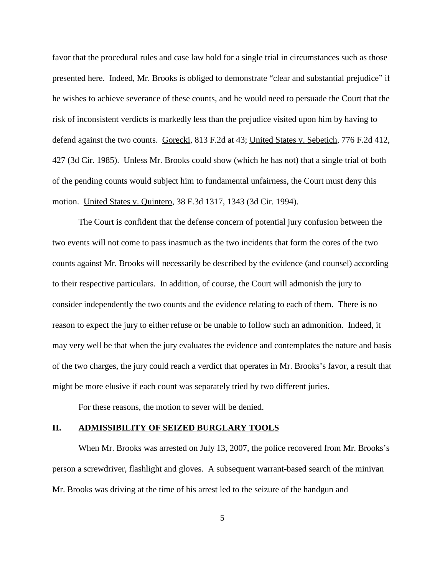favor that the procedural rules and case law hold for a single trial in circumstances such as those presented here. Indeed, Mr. Brooks is obliged to demonstrate "clear and substantial prejudice" if he wishes to achieve severance of these counts, and he would need to persuade the Court that the risk of inconsistent verdicts is markedly less than the prejudice visited upon him by having to defend against the two counts. Gorecki, 813 F.2d at 43; United States v. Sebetich, 776 F.2d 412, 427 (3d Cir. 1985). Unless Mr. Brooks could show (which he has not) that a single trial of both of the pending counts would subject him to fundamental unfairness, the Court must deny this motion. United States v. Quintero, 38 F.3d 1317, 1343 (3d Cir. 1994).

The Court is confident that the defense concern of potential jury confusion between the two events will not come to pass inasmuch as the two incidents that form the cores of the two counts against Mr. Brooks will necessarily be described by the evidence (and counsel) according to their respective particulars. In addition, of course, the Court will admonish the jury to consider independently the two counts and the evidence relating to each of them. There is no reason to expect the jury to either refuse or be unable to follow such an admonition. Indeed, it may very well be that when the jury evaluates the evidence and contemplates the nature and basis of the two charges, the jury could reach a verdict that operates in Mr. Brooks's favor, a result that might be more elusive if each count was separately tried by two different juries.

For these reasons, the motion to sever will be denied.

## **II. ADMISSIBILITY OF SEIZED BURGLARY TOOLS**

When Mr. Brooks was arrested on July 13, 2007, the police recovered from Mr. Brooks's person a screwdriver, flashlight and gloves. A subsequent warrant-based search of the minivan Mr. Brooks was driving at the time of his arrest led to the seizure of the handgun and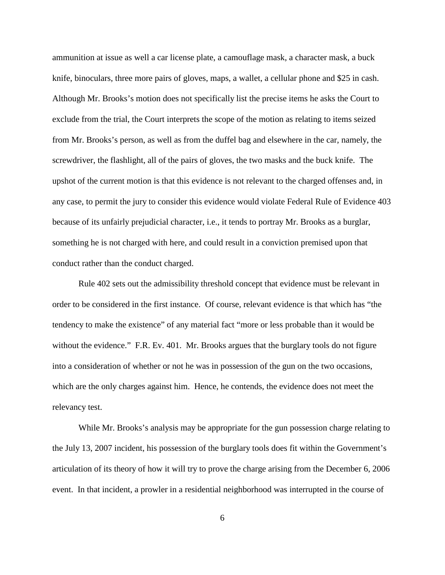ammunition at issue as well a car license plate, a camouflage mask, a character mask, a buck knife, binoculars, three more pairs of gloves, maps, a wallet, a cellular phone and \$25 in cash. Although Mr. Brooks's motion does not specifically list the precise items he asks the Court to exclude from the trial, the Court interprets the scope of the motion as relating to items seized from Mr. Brooks's person, as well as from the duffel bag and elsewhere in the car, namely, the screwdriver, the flashlight, all of the pairs of gloves, the two masks and the buck knife. The upshot of the current motion is that this evidence is not relevant to the charged offenses and, in any case, to permit the jury to consider this evidence would violate Federal Rule of Evidence 403 because of its unfairly prejudicial character, i.e., it tends to portray Mr. Brooks as a burglar, something he is not charged with here, and could result in a conviction premised upon that conduct rather than the conduct charged.

Rule 402 sets out the admissibility threshold concept that evidence must be relevant in order to be considered in the first instance. Of course, relevant evidence is that which has "the tendency to make the existence" of any material fact "more or less probable than it would be without the evidence." F.R. Ev. 401. Mr. Brooks argues that the burglary tools do not figure into a consideration of whether or not he was in possession of the gun on the two occasions, which are the only charges against him. Hence, he contends, the evidence does not meet the relevancy test.

While Mr. Brooks's analysis may be appropriate for the gun possession charge relating to the July 13, 2007 incident, his possession of the burglary tools does fit within the Government's articulation of its theory of how it will try to prove the charge arising from the December 6, 2006 event. In that incident, a prowler in a residential neighborhood was interrupted in the course of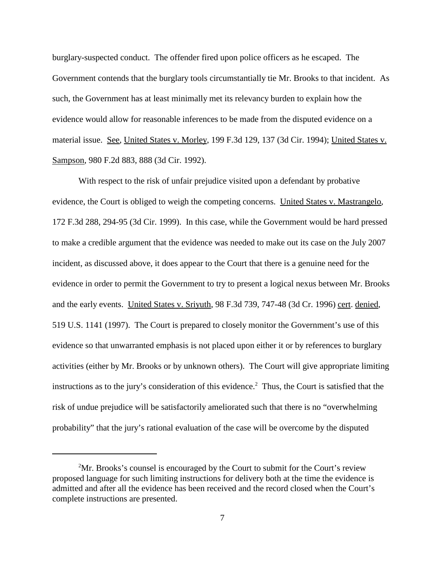burglary-suspected conduct. The offender fired upon police officers as he escaped. The Government contends that the burglary tools circumstantially tie Mr. Brooks to that incident. As such, the Government has at least minimally met its relevancy burden to explain how the evidence would allow for reasonable inferences to be made from the disputed evidence on a material issue. See, United States v. Morley, 199 F.3d 129, 137 (3d Cir. 1994); United States v. Sampson, 980 F.2d 883, 888 (3d Cir. 1992).

With respect to the risk of unfair prejudice visited upon a defendant by probative evidence, the Court is obliged to weigh the competing concerns. United States v. Mastrangelo, 172 F.3d 288, 294-95 (3d Cir. 1999). In this case, while the Government would be hard pressed to make a credible argument that the evidence was needed to make out its case on the July 2007 incident, as discussed above, it does appear to the Court that there is a genuine need for the evidence in order to permit the Government to try to present a logical nexus between Mr. Brooks and the early events. United States v. Srivuth, 98 F.3d 739, 747-48 (3d Cr. 1996) cert. denied, 519 U.S. 1141 (1997). The Court is prepared to closely monitor the Government's use of this evidence so that unwarranted emphasis is not placed upon either it or by references to burglary activities (either by Mr. Brooks or by unknown others). The Court will give appropriate limiting instructions as to the jury's consideration of this evidence. <sup>2</sup> Thus, the Court is satisfied that the risk of undue prejudice will be satisfactorily ameliorated such that there is no "overwhelming probability" that the jury's rational evaluation of the case will be overcome by the disputed

<sup>&</sup>lt;sup>2</sup>Mr. Brooks's counsel is encouraged by the Court to submit for the Court's review proposed language for such limiting instructions for delivery both at the time the evidence is admitted and after all the evidence has been received and the record closed when the Court's complete instructions are presented.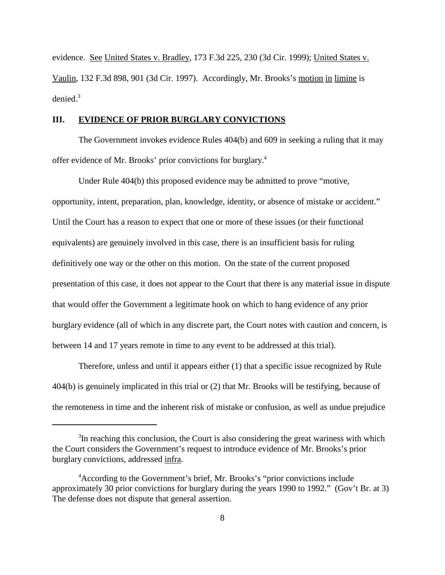evidence. See United States v. Bradley, 173 F.3d 225, 230 (3d Cir. 1999); United States v. Vaulin, 132 F.3d 898, 901 (3d Cir. 1997). Accordingly, Mr. Brooks's motion in limine is denied. 3

## **III. EVIDENCE OF PRIOR BURGLARY CONVICTIONS**

The Government invokes evidence Rules 404(b) and 609 in seeking a ruling that it may offer evidence of Mr. Brooks' prior convictions for burglary. 4

Under Rule 404(b) this proposed evidence may be admitted to prove "motive, opportunity, intent, preparation, plan, knowledge, identity, or absence of mistake or accident." Until the Court has a reason to expect that one or more of these issues (or their functional equivalents) are genuinely involved in this case, there is an insufficient basis for ruling definitively one way or the other on this motion. On the state of the current proposed presentation of this case, it does not appear to the Court that there is any material issue in dispute that would offer the Government a legitimate hook on which to hang evidence of any prior burglary evidence (all of which in any discrete part, the Court notes with caution and concern, is between 14 and 17 years remote in time to any event to be addressed at this trial).

Therefore, unless and until it appears either (1) that a specific issue recognized by Rule 404(b) is genuinely implicated in this trial or (2) that Mr. Brooks will be testifying, because of the remoteness in time and the inherent risk of mistake or confusion, as well as undue prejudice

 $3$ In reaching this conclusion, the Court is also considering the great wariness with which the Court considers the Government's request to introduce evidence of Mr. Brooks's prior burglary convictions, addressed infra.

<sup>4</sup> According to the Government's brief, Mr. Brooks's "prior convictions include approximately 30 prior convictions for burglary during the years 1990 to 1992." (Gov't Br. at 3) The defense does not dispute that general assertion.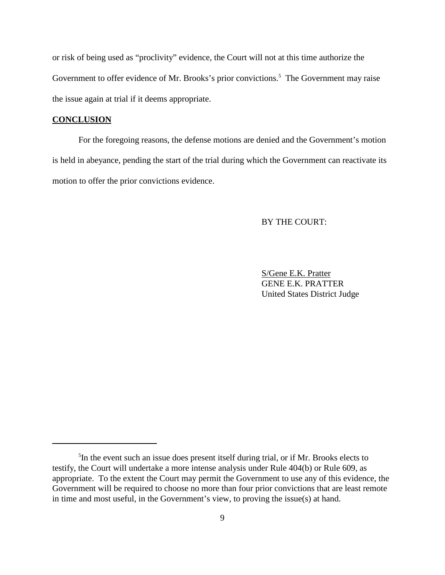or risk of being used as "proclivity" evidence, the Court will not at this time authorize the Government to offer evidence of Mr. Brooks's prior convictions.<sup>5</sup> The Government may raise the issue again at trial if it deems appropriate.

## **CONCLUSION**

For the foregoing reasons, the defense motions are denied and the Government's motion is held in abeyance, pending the start of the trial during which the Government can reactivate its motion to offer the prior convictions evidence.

### BY THE COURT:

S/Gene E.K. Pratter GENE E.K. PRATTER United States District Judge

<sup>&</sup>lt;sup>5</sup>In the event such an issue does present itself during trial, or if Mr. Brooks elects to testify, the Court will undertake a more intense analysis under Rule 404(b) or Rule 609, as appropriate. To the extent the Court may permit the Government to use any of this evidence, the Government will be required to choose no more than four prior convictions that are least remote in time and most useful, in the Government's view, to proving the issue(s) at hand.